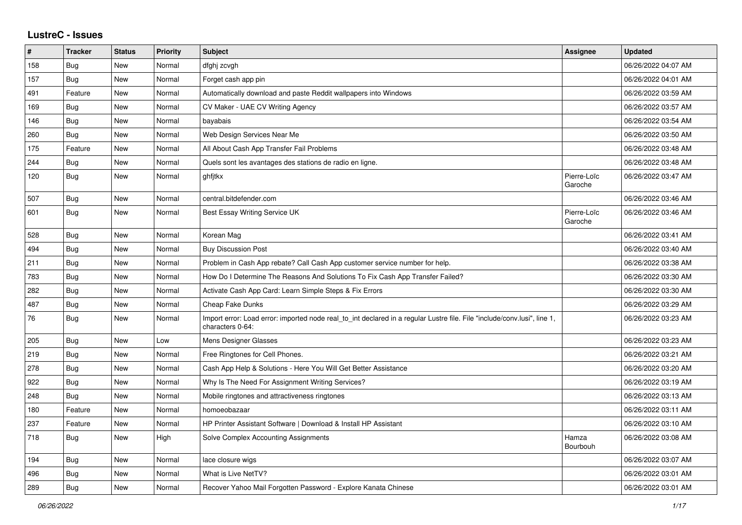## **LustreC - Issues**

| $\sharp$ | <b>Tracker</b> | <b>Status</b> | <b>Priority</b> | <b>Subject</b>                                                                                                                               | Assignee               | <b>Updated</b>      |
|----------|----------------|---------------|-----------------|----------------------------------------------------------------------------------------------------------------------------------------------|------------------------|---------------------|
| 158      | <b>Bug</b>     | <b>New</b>    | Normal          | dfghj zcvgh                                                                                                                                  |                        | 06/26/2022 04:07 AM |
| 157      | <b>Bug</b>     | New           | Normal          | Forget cash app pin                                                                                                                          |                        | 06/26/2022 04:01 AM |
| 491      | Feature        | New           | Normal          | Automatically download and paste Reddit wallpapers into Windows                                                                              |                        | 06/26/2022 03:59 AM |
| 169      | <b>Bug</b>     | New           | Normal          | CV Maker - UAE CV Writing Agency                                                                                                             |                        | 06/26/2022 03:57 AM |
| 146      | Bug            | <b>New</b>    | Normal          | bayabais                                                                                                                                     |                        | 06/26/2022 03:54 AM |
| 260      | Bug            | <b>New</b>    | Normal          | Web Design Services Near Me                                                                                                                  |                        | 06/26/2022 03:50 AM |
| 175      | Feature        | New           | Normal          | All About Cash App Transfer Fail Problems                                                                                                    |                        | 06/26/2022 03:48 AM |
| 244      | Bug            | New           | Normal          | Quels sont les avantages des stations de radio en ligne.                                                                                     |                        | 06/26/2022 03:48 AM |
| 120      | Bug            | New           | Normal          | ghfjtkx                                                                                                                                      | Pierre-Loïc<br>Garoche | 06/26/2022 03:47 AM |
| 507      | Bug            | New           | Normal          | central.bitdefender.com                                                                                                                      |                        | 06/26/2022 03:46 AM |
| 601      | <b>Bug</b>     | New           | Normal          | Best Essay Writing Service UK                                                                                                                | Pierre-Loïc<br>Garoche | 06/26/2022 03:46 AM |
| 528      | <b>Bug</b>     | New           | Normal          | Korean Mag                                                                                                                                   |                        | 06/26/2022 03:41 AM |
| 494      | <b>Bug</b>     | New           | Normal          | <b>Buy Discussion Post</b>                                                                                                                   |                        | 06/26/2022 03:40 AM |
| 211      | Bug            | New           | Normal          | Problem in Cash App rebate? Call Cash App customer service number for help.                                                                  |                        | 06/26/2022 03:38 AM |
| 783      | Bug            | New           | Normal          | How Do I Determine The Reasons And Solutions To Fix Cash App Transfer Failed?                                                                |                        | 06/26/2022 03:30 AM |
| 282      | <b>Bug</b>     | New           | Normal          | Activate Cash App Card: Learn Simple Steps & Fix Errors                                                                                      |                        | 06/26/2022 03:30 AM |
| 487      | Bug            | New           | Normal          | <b>Cheap Fake Dunks</b>                                                                                                                      |                        | 06/26/2022 03:29 AM |
| 76       | <b>Bug</b>     | New           | Normal          | Import error: Load error: imported node real to int declared in a regular Lustre file. File "include/conv.lusi", line 1,<br>characters 0-64: |                        | 06/26/2022 03:23 AM |
| 205      | Bug            | New           | Low             | Mens Designer Glasses                                                                                                                        |                        | 06/26/2022 03:23 AM |
| 219      | <b>Bug</b>     | New           | Normal          | Free Ringtones for Cell Phones.                                                                                                              |                        | 06/26/2022 03:21 AM |
| 278      | <b>Bug</b>     | New           | Normal          | Cash App Help & Solutions - Here You Will Get Better Assistance                                                                              |                        | 06/26/2022 03:20 AM |
| 922      | Bug            | New           | Normal          | Why Is The Need For Assignment Writing Services?                                                                                             |                        | 06/26/2022 03:19 AM |
| 248      | Bug            | New           | Normal          | Mobile ringtones and attractiveness ringtones                                                                                                |                        | 06/26/2022 03:13 AM |
| 180      | Feature        | New           | Normal          | homoeobazaar                                                                                                                                 |                        | 06/26/2022 03:11 AM |
| 237      | Feature        | New           | Normal          | HP Printer Assistant Software   Download & Install HP Assistant                                                                              |                        | 06/26/2022 03:10 AM |
| 718      | Bug            | New           | High            | Solve Complex Accounting Assignments                                                                                                         | Hamza<br>Bourbouh      | 06/26/2022 03:08 AM |
| 194      | <b>Bug</b>     | New           | Normal          | lace closure wigs                                                                                                                            |                        | 06/26/2022 03:07 AM |
| 496      | <b>Bug</b>     | New           | Normal          | What is Live NetTV?                                                                                                                          |                        | 06/26/2022 03:01 AM |
| 289      | <b>Bug</b>     | New           | Normal          | Recover Yahoo Mail Forgotten Password - Explore Kanata Chinese                                                                               |                        | 06/26/2022 03:01 AM |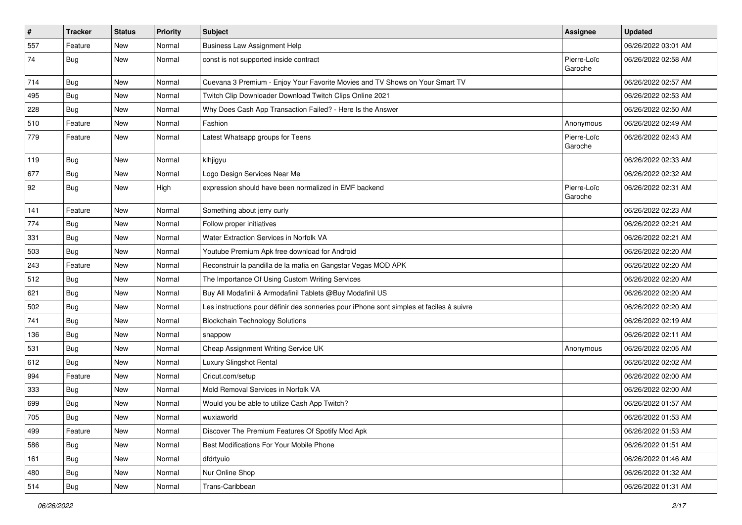| $\vert$ # | <b>Tracker</b> | <b>Status</b> | Priority | <b>Subject</b>                                                                           | <b>Assignee</b>        | <b>Updated</b>      |
|-----------|----------------|---------------|----------|------------------------------------------------------------------------------------------|------------------------|---------------------|
| 557       | Feature        | New           | Normal   | <b>Business Law Assignment Help</b>                                                      |                        | 06/26/2022 03:01 AM |
| 74        | <b>Bug</b>     | New           | Normal   | const is not supported inside contract                                                   | Pierre-Loïc<br>Garoche | 06/26/2022 02:58 AM |
| 714       | <b>Bug</b>     | New           | Normal   | Cuevana 3 Premium - Enjoy Your Favorite Movies and TV Shows on Your Smart TV             |                        | 06/26/2022 02:57 AM |
| 495       | Bug            | New           | Normal   | Twitch Clip Downloader Download Twitch Clips Online 2021                                 |                        | 06/26/2022 02:53 AM |
| 228       | <b>Bug</b>     | New           | Normal   | Why Does Cash App Transaction Failed? - Here Is the Answer                               |                        | 06/26/2022 02:50 AM |
| 510       | Feature        | New           | Normal   | Fashion                                                                                  | Anonymous              | 06/26/2022 02:49 AM |
| 779       | Feature        | New           | Normal   | Latest Whatsapp groups for Teens                                                         | Pierre-Loïc<br>Garoche | 06/26/2022 02:43 AM |
| 119       | <b>Bug</b>     | New           | Normal   | klhjigyu                                                                                 |                        | 06/26/2022 02:33 AM |
| 677       | <b>Bug</b>     | New           | Normal   | Logo Design Services Near Me                                                             |                        | 06/26/2022 02:32 AM |
| 92        | <b>Bug</b>     | New           | High     | expression should have been normalized in EMF backend                                    | Pierre-Loïc<br>Garoche | 06/26/2022 02:31 AM |
| 141       | Feature        | New           | Normal   | Something about jerry curly                                                              |                        | 06/26/2022 02:23 AM |
| 774       | <b>Bug</b>     | New           | Normal   | Follow proper initiatives                                                                |                        | 06/26/2022 02:21 AM |
| 331       | Bug            | New           | Normal   | Water Extraction Services in Norfolk VA                                                  |                        | 06/26/2022 02:21 AM |
| 503       | Bug            | New           | Normal   | Youtube Premium Apk free download for Android                                            |                        | 06/26/2022 02:20 AM |
| 243       | Feature        | New           | Normal   | Reconstruir la pandilla de la mafia en Gangstar Vegas MOD APK                            |                        | 06/26/2022 02:20 AM |
| 512       | Bug            | New           | Normal   | The Importance Of Using Custom Writing Services                                          |                        | 06/26/2022 02:20 AM |
| 621       | <b>Bug</b>     | <b>New</b>    | Normal   | Buy All Modafinil & Armodafinil Tablets @Buy Modafinil US                                |                        | 06/26/2022 02:20 AM |
| 502       | Bug            | New           | Normal   | Les instructions pour définir des sonneries pour iPhone sont simples et faciles à suivre |                        | 06/26/2022 02:20 AM |
| 741       | Bug            | New           | Normal   | <b>Blockchain Technology Solutions</b>                                                   |                        | 06/26/2022 02:19 AM |
| 136       | Bug            | New           | Normal   | snappow                                                                                  |                        | 06/26/2022 02:11 AM |
| 531       | <b>Bug</b>     | New           | Normal   | Cheap Assignment Writing Service UK                                                      | Anonymous              | 06/26/2022 02:05 AM |
| 612       | <b>Bug</b>     | New           | Normal   | Luxury Slingshot Rental                                                                  |                        | 06/26/2022 02:02 AM |
| 994       | Feature        | New           | Normal   | Cricut.com/setup                                                                         |                        | 06/26/2022 02:00 AM |
| 333       | <b>Bug</b>     | New           | Normal   | Mold Removal Services in Norfolk VA                                                      |                        | 06/26/2022 02:00 AM |
| 699       | <b>Bug</b>     | New           | Normal   | Would you be able to utilize Cash App Twitch?                                            |                        | 06/26/2022 01:57 AM |
| 705       | Bug            | New           | Normal   | wuxiaworld                                                                               |                        | 06/26/2022 01:53 AM |
| 499       | Feature        | New           | Normal   | Discover The Premium Features Of Spotify Mod Apk                                         |                        | 06/26/2022 01:53 AM |
| 586       | <b>Bug</b>     | New           | Normal   | Best Modifications For Your Mobile Phone                                                 |                        | 06/26/2022 01:51 AM |
| 161       | Bug            | New           | Normal   | dfdrtyuio                                                                                |                        | 06/26/2022 01:46 AM |
| 480       | Bug            | New           | Normal   | Nur Online Shop                                                                          |                        | 06/26/2022 01:32 AM |
| 514       | Bug            | New           | Normal   | Trans-Caribbean                                                                          |                        | 06/26/2022 01:31 AM |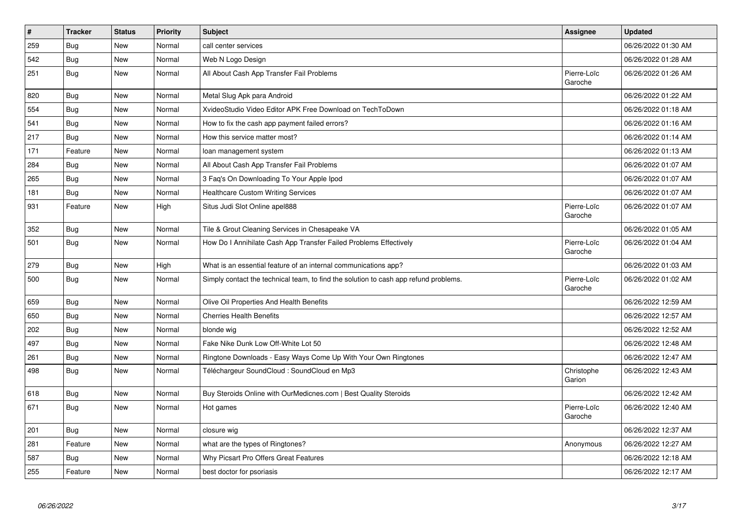| $\vert$ # | <b>Tracker</b> | <b>Status</b> | Priority | <b>Subject</b>                                                                       | <b>Assignee</b>        | <b>Updated</b>      |
|-----------|----------------|---------------|----------|--------------------------------------------------------------------------------------|------------------------|---------------------|
| 259       | Bug            | New           | Normal   | call center services                                                                 |                        | 06/26/2022 01:30 AM |
| 542       | Bug            | New           | Normal   | Web N Logo Design                                                                    |                        | 06/26/2022 01:28 AM |
| 251       | <b>Bug</b>     | New           | Normal   | All About Cash App Transfer Fail Problems                                            | Pierre-Loïc<br>Garoche | 06/26/2022 01:26 AM |
| 820       | <b>Bug</b>     | New           | Normal   | Metal Slug Apk para Android                                                          |                        | 06/26/2022 01:22 AM |
| 554       | Bug            | New           | Normal   | XvideoStudio Video Editor APK Free Download on TechToDown                            |                        | 06/26/2022 01:18 AM |
| 541       | <b>Bug</b>     | New           | Normal   | How to fix the cash app payment failed errors?                                       |                        | 06/26/2022 01:16 AM |
| 217       | Bug            | <b>New</b>    | Normal   | How this service matter most?                                                        |                        | 06/26/2022 01:14 AM |
| 171       | Feature        | New           | Normal   | loan management system                                                               |                        | 06/26/2022 01:13 AM |
| 284       | <b>Bug</b>     | New           | Normal   | All About Cash App Transfer Fail Problems                                            |                        | 06/26/2022 01:07 AM |
| 265       | Bug            | New           | Normal   | 3 Faq's On Downloading To Your Apple Ipod                                            |                        | 06/26/2022 01:07 AM |
| 181       | <b>Bug</b>     | New           | Normal   | <b>Healthcare Custom Writing Services</b>                                            |                        | 06/26/2022 01:07 AM |
| 931       | Feature        | New           | High     | Situs Judi Slot Online apel888                                                       | Pierre-Loïc<br>Garoche | 06/26/2022 01:07 AM |
| 352       | Bug            | New           | Normal   | Tile & Grout Cleaning Services in Chesapeake VA                                      |                        | 06/26/2022 01:05 AM |
| 501       | <b>Bug</b>     | New           | Normal   | How Do I Annihilate Cash App Transfer Failed Problems Effectively                    | Pierre-Loïc<br>Garoche | 06/26/2022 01:04 AM |
| 279       | Bug            | New           | High     | What is an essential feature of an internal communications app?                      |                        | 06/26/2022 01:03 AM |
| 500       | <b>Bug</b>     | New           | Normal   | Simply contact the technical team, to find the solution to cash app refund problems. | Pierre-Loïc<br>Garoche | 06/26/2022 01:02 AM |
| 659       | Bug            | New           | Normal   | Olive Oil Properties And Health Benefits                                             |                        | 06/26/2022 12:59 AM |
| 650       | Bug            | New           | Normal   | <b>Cherries Health Benefits</b>                                                      |                        | 06/26/2022 12:57 AM |
| 202       | Bug            | New           | Normal   | blonde wig                                                                           |                        | 06/26/2022 12:52 AM |
| 497       | Bug            | New           | Normal   | Fake Nike Dunk Low Off-White Lot 50                                                  |                        | 06/26/2022 12:48 AM |
| 261       | Bug            | New           | Normal   | Ringtone Downloads - Easy Ways Come Up With Your Own Ringtones                       |                        | 06/26/2022 12:47 AM |
| 498       | <b>Bug</b>     | New           | Normal   | Téléchargeur SoundCloud : SoundCloud en Mp3                                          | Christophe<br>Garion   | 06/26/2022 12:43 AM |
| 618       | <b>Bug</b>     | New           | Normal   | Buy Steroids Online with OurMedicnes.com   Best Quality Steroids                     |                        | 06/26/2022 12:42 AM |
| 671       | <b>Bug</b>     | New           | Normal   | Hot games                                                                            | Pierre-Loïc<br>Garoche | 06/26/2022 12:40 AM |
| 201       | Bug            | New           | Normal   | closure wig                                                                          |                        | 06/26/2022 12:37 AM |
| 281       | Feature        | New           | Normal   | what are the types of Ringtones?                                                     | Anonymous              | 06/26/2022 12:27 AM |
| 587       | Bug            | New           | Normal   | Why Picsart Pro Offers Great Features                                                |                        | 06/26/2022 12:18 AM |
| 255       | Feature        | <b>New</b>    | Normal   | best doctor for psoriasis                                                            |                        | 06/26/2022 12:17 AM |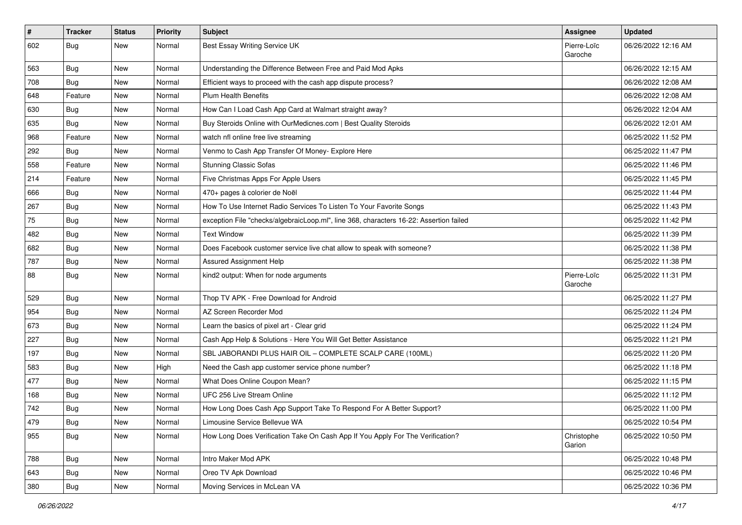| $\vert$ # | <b>Tracker</b> | <b>Status</b> | <b>Priority</b> | Subject                                                                                | Assignee               | <b>Updated</b>      |
|-----------|----------------|---------------|-----------------|----------------------------------------------------------------------------------------|------------------------|---------------------|
| 602       | Bug            | New           | Normal          | Best Essay Writing Service UK                                                          | Pierre-Loïc<br>Garoche | 06/26/2022 12:16 AM |
| 563       | Bug            | New           | Normal          | Understanding the Difference Between Free and Paid Mod Apks                            |                        | 06/26/2022 12:15 AM |
| 708       | <b>Bug</b>     | <b>New</b>    | Normal          | Efficient ways to proceed with the cash app dispute process?                           |                        | 06/26/2022 12:08 AM |
| 648       | Feature        | New           | Normal          | <b>Plum Health Benefits</b>                                                            |                        | 06/26/2022 12:08 AM |
| 630       | <b>Bug</b>     | New           | Normal          | How Can I Load Cash App Card at Walmart straight away?                                 |                        | 06/26/2022 12:04 AM |
| 635       | <b>Bug</b>     | New           | Normal          | Buy Steroids Online with OurMedicnes.com   Best Quality Steroids                       |                        | 06/26/2022 12:01 AM |
| 968       | Feature        | New           | Normal          | watch nfl online free live streaming                                                   |                        | 06/25/2022 11:52 PM |
| 292       | <b>Bug</b>     | New           | Normal          | Venmo to Cash App Transfer Of Money- Explore Here                                      |                        | 06/25/2022 11:47 PM |
| 558       | Feature        | New           | Normal          | <b>Stunning Classic Sofas</b>                                                          |                        | 06/25/2022 11:46 PM |
| 214       | Feature        | New           | Normal          | Five Christmas Apps For Apple Users                                                    |                        | 06/25/2022 11:45 PM |
| 666       | <b>Bug</b>     | New           | Normal          | 470+ pages à colorier de Noël                                                          |                        | 06/25/2022 11:44 PM |
| 267       | Bug            | New           | Normal          | How To Use Internet Radio Services To Listen To Your Favorite Songs                    |                        | 06/25/2022 11:43 PM |
| 75        | <b>Bug</b>     | New           | Normal          | exception File "checks/algebraicLoop.ml", line 368, characters 16-22: Assertion failed |                        | 06/25/2022 11:42 PM |
| 482       | Bug            | <b>New</b>    | Normal          | <b>Text Window</b>                                                                     |                        | 06/25/2022 11:39 PM |
| 682       | <b>Bug</b>     | New           | Normal          | Does Facebook customer service live chat allow to speak with someone?                  |                        | 06/25/2022 11:38 PM |
| 787       | Bug            | New           | Normal          | Assured Assignment Help                                                                |                        | 06/25/2022 11:38 PM |
| 88        | Bug            | New           | Normal          | kind2 output: When for node arguments                                                  | Pierre-Loïc<br>Garoche | 06/25/2022 11:31 PM |
| 529       | Bug            | New           | Normal          | Thop TV APK - Free Download for Android                                                |                        | 06/25/2022 11:27 PM |
| 954       | <b>Bug</b>     | New           | Normal          | AZ Screen Recorder Mod                                                                 |                        | 06/25/2022 11:24 PM |
| 673       | <b>Bug</b>     | New           | Normal          | Learn the basics of pixel art - Clear grid                                             |                        | 06/25/2022 11:24 PM |
| 227       | Bug            | New           | Normal          | Cash App Help & Solutions - Here You Will Get Better Assistance                        |                        | 06/25/2022 11:21 PM |
| 197       | <b>Bug</b>     | New           | Normal          | SBL JABORANDI PLUS HAIR OIL - COMPLETE SCALP CARE (100ML)                              |                        | 06/25/2022 11:20 PM |
| 583       | <b>Bug</b>     | New           | High            | Need the Cash app customer service phone number?                                       |                        | 06/25/2022 11:18 PM |
| 477       | Bug            | New           | Normal          | What Does Online Coupon Mean?                                                          |                        | 06/25/2022 11:15 PM |
| 168       | <b>Bug</b>     | New           | Normal          | UFC 256 Live Stream Online                                                             |                        | 06/25/2022 11:12 PM |
| 742       | Bug            | New           | Normal          | How Long Does Cash App Support Take To Respond For A Better Support?                   |                        | 06/25/2022 11:00 PM |
| 479       | Bug            | New           | Normal          | Limousine Service Bellevue WA                                                          |                        | 06/25/2022 10:54 PM |
| 955       | Bug            | New           | Normal          | How Long Does Verification Take On Cash App If You Apply For The Verification?         | Christophe<br>Garion   | 06/25/2022 10:50 PM |
| 788       | <b>Bug</b>     | New           | Normal          | Intro Maker Mod APK                                                                    |                        | 06/25/2022 10:48 PM |
| 643       | Bug            | New           | Normal          | Oreo TV Apk Download                                                                   |                        | 06/25/2022 10:46 PM |
| 380       | Bug            | New           | Normal          | Moving Services in McLean VA                                                           |                        | 06/25/2022 10:36 PM |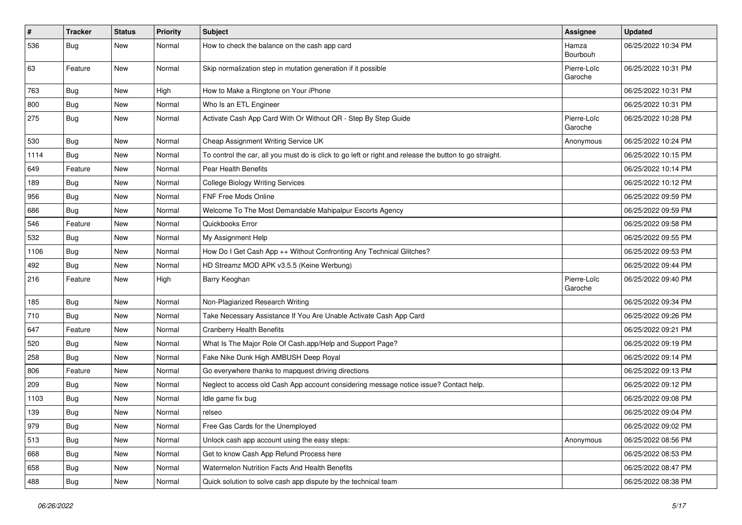| #    | <b>Tracker</b> | <b>Status</b> | <b>Priority</b> | Subject                                                                                                 | Assignee               | <b>Updated</b>      |
|------|----------------|---------------|-----------------|---------------------------------------------------------------------------------------------------------|------------------------|---------------------|
| 536  | <b>Bug</b>     | New           | Normal          | How to check the balance on the cash app card                                                           | Hamza<br>Bourbouh      | 06/25/2022 10:34 PM |
| 63   | Feature        | <b>New</b>    | Normal          | Skip normalization step in mutation generation if it possible                                           | Pierre-Loïc<br>Garoche | 06/25/2022 10:31 PM |
| 763  | Bug            | New           | High            | How to Make a Ringtone on Your iPhone                                                                   |                        | 06/25/2022 10:31 PM |
| 800  | Bug            | New           | Normal          | Who Is an ETL Engineer                                                                                  |                        | 06/25/2022 10:31 PM |
| 275  | Bug            | <b>New</b>    | Normal          | Activate Cash App Card With Or Without QR - Step By Step Guide                                          | Pierre-Loïc<br>Garoche | 06/25/2022 10:28 PM |
| 530  | <b>Bug</b>     | New           | Normal          | Cheap Assignment Writing Service UK                                                                     | Anonymous              | 06/25/2022 10:24 PM |
| 1114 | Bug            | New           | Normal          | To control the car, all you must do is click to go left or right and release the button to go straight. |                        | 06/25/2022 10:15 PM |
| 649  | Feature        | New           | Normal          | Pear Health Benefits                                                                                    |                        | 06/25/2022 10:14 PM |
| 189  | Bug            | New           | Normal          | <b>College Biology Writing Services</b>                                                                 |                        | 06/25/2022 10:12 PM |
| 956  | Bug            | New           | Normal          | <b>FNF Free Mods Online</b>                                                                             |                        | 06/25/2022 09:59 PM |
| 686  | Bug            | New           | Normal          | Welcome To The Most Demandable Mahipalpur Escorts Agency                                                |                        | 06/25/2022 09:59 PM |
| 546  | Feature        | New           | Normal          | Quickbooks Error                                                                                        |                        | 06/25/2022 09:58 PM |
| 532  | <b>Bug</b>     | New           | Normal          | My Assignment Help                                                                                      |                        | 06/25/2022 09:55 PM |
| 1106 | Bug            | New           | Normal          | How Do I Get Cash App ++ Without Confronting Any Technical Glitches?                                    |                        | 06/25/2022 09:53 PM |
| 492  | Bug            | New           | Normal          | HD Streamz MOD APK v3.5.5 (Keine Werbung)                                                               |                        | 06/25/2022 09:44 PM |
| 216  | Feature        | New           | High            | Barry Keoghan                                                                                           | Pierre-Loïc<br>Garoche | 06/25/2022 09:40 PM |
| 185  | <b>Bug</b>     | New           | Normal          | Non-Plagiarized Research Writing                                                                        |                        | 06/25/2022 09:34 PM |
| 710  | <b>Bug</b>     | New           | Normal          | Take Necessary Assistance If You Are Unable Activate Cash App Card                                      |                        | 06/25/2022 09:26 PM |
| 647  | Feature        | New           | Normal          | <b>Cranberry Health Benefits</b>                                                                        |                        | 06/25/2022 09:21 PM |
| 520  | <b>Bug</b>     | New           | Normal          | What Is The Major Role Of Cash.app/Help and Support Page?                                               |                        | 06/25/2022 09:19 PM |
| 258  | <b>Bug</b>     | New           | Normal          | Fake Nike Dunk High AMBUSH Deep Royal                                                                   |                        | 06/25/2022 09:14 PM |
| 806  | Feature        | New           | Normal          | Go everywhere thanks to mapquest driving directions                                                     |                        | 06/25/2022 09:13 PM |
| 209  | Bug            | New           | Normal          | Neglect to access old Cash App account considering message notice issue? Contact help.                  |                        | 06/25/2022 09:12 PM |
| 1103 | <b>Bug</b>     | New           | Normal          | Idle game fix bug                                                                                       |                        | 06/25/2022 09:08 PM |
| 139  | <b>Bug</b>     | New           | Normal          | relseo                                                                                                  |                        | 06/25/2022 09:04 PM |
| 979  | <b>Bug</b>     | New           | Normal          | Free Gas Cards for the Unemployed                                                                       |                        | 06/25/2022 09:02 PM |
| 513  | Bug            | New           | Normal          | Unlock cash app account using the easy steps:                                                           | Anonymous              | 06/25/2022 08:56 PM |
| 668  | <b>Bug</b>     | New           | Normal          | Get to know Cash App Refund Process here                                                                |                        | 06/25/2022 08:53 PM |
| 658  | <b>Bug</b>     | New           | Normal          | Watermelon Nutrition Facts And Health Benefits                                                          |                        | 06/25/2022 08:47 PM |
| 488  | Bug            | New           | Normal          | Quick solution to solve cash app dispute by the technical team                                          |                        | 06/25/2022 08:38 PM |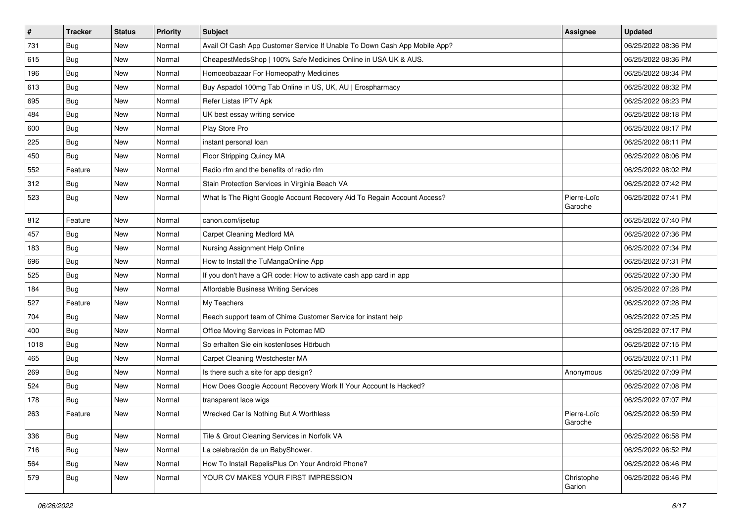| $\vert$ # | <b>Tracker</b> | <b>Status</b> | <b>Priority</b> | <b>Subject</b>                                                            | <b>Assignee</b>        | <b>Updated</b>      |
|-----------|----------------|---------------|-----------------|---------------------------------------------------------------------------|------------------------|---------------------|
| 731       | <b>Bug</b>     | New           | Normal          | Avail Of Cash App Customer Service If Unable To Down Cash App Mobile App? |                        | 06/25/2022 08:36 PM |
| 615       | <b>Bug</b>     | New           | Normal          | CheapestMedsShop   100% Safe Medicines Online in USA UK & AUS.            |                        | 06/25/2022 08:36 PM |
| 196       | Bug            | New           | Normal          | Homoeobazaar For Homeopathy Medicines                                     |                        | 06/25/2022 08:34 PM |
| 613       | Bug            | New           | Normal          | Buy Aspadol 100mg Tab Online in US, UK, AU   Erospharmacy                 |                        | 06/25/2022 08:32 PM |
| 695       | <b>Bug</b>     | New           | Normal          | Refer Listas IPTV Apk                                                     |                        | 06/25/2022 08:23 PM |
| 484       | <b>Bug</b>     | New           | Normal          | UK best essay writing service                                             |                        | 06/25/2022 08:18 PM |
| 600       | <b>Bug</b>     | New           | Normal          | Play Store Pro                                                            |                        | 06/25/2022 08:17 PM |
| 225       | Bug            | New           | Normal          | instant personal loan                                                     |                        | 06/25/2022 08:11 PM |
| 450       | Bug            | New           | Normal          | Floor Stripping Quincy MA                                                 |                        | 06/25/2022 08:06 PM |
| 552       | Feature        | New           | Normal          | Radio rfm and the benefits of radio rfm                                   |                        | 06/25/2022 08:02 PM |
| 312       | <b>Bug</b>     | New           | Normal          | Stain Protection Services in Virginia Beach VA                            |                        | 06/25/2022 07:42 PM |
| 523       | <b>Bug</b>     | New           | Normal          | What Is The Right Google Account Recovery Aid To Regain Account Access?   | Pierre-Loïc<br>Garoche | 06/25/2022 07:41 PM |
| 812       | Feature        | New           | Normal          | canon.com/ijsetup                                                         |                        | 06/25/2022 07:40 PM |
| 457       | <b>Bug</b>     | New           | Normal          | Carpet Cleaning Medford MA                                                |                        | 06/25/2022 07:36 PM |
| 183       | Bug            | New           | Normal          | Nursing Assignment Help Online                                            |                        | 06/25/2022 07:34 PM |
| 696       | Bug            | New           | Normal          | How to Install the TuMangaOnline App                                      |                        | 06/25/2022 07:31 PM |
| 525       | <b>Bug</b>     | New           | Normal          | If you don't have a QR code: How to activate cash app card in app         |                        | 06/25/2022 07:30 PM |
| 184       | Bug            | New           | Normal          | Affordable Business Writing Services                                      |                        | 06/25/2022 07:28 PM |
| 527       | Feature        | New           | Normal          | My Teachers                                                               |                        | 06/25/2022 07:28 PM |
| 704       | Bug            | New           | Normal          | Reach support team of Chime Customer Service for instant help             |                        | 06/25/2022 07:25 PM |
| 400       | Bug            | New           | Normal          | Office Moving Services in Potomac MD                                      |                        | 06/25/2022 07:17 PM |
| 1018      | <b>Bug</b>     | New           | Normal          | So erhalten Sie ein kostenloses Hörbuch                                   |                        | 06/25/2022 07:15 PM |
| 465       | <b>Bug</b>     | New           | Normal          | Carpet Cleaning Westchester MA                                            |                        | 06/25/2022 07:11 PM |
| 269       | <b>Bug</b>     | New           | Normal          | Is there such a site for app design?                                      | Anonymous              | 06/25/2022 07:09 PM |
| 524       | <b>Bug</b>     | New           | Normal          | How Does Google Account Recovery Work If Your Account Is Hacked?          |                        | 06/25/2022 07:08 PM |
| 178       | <b>Bug</b>     | New           | Normal          | transparent lace wigs                                                     |                        | 06/25/2022 07:07 PM |
| 263       | Feature        | New           | Normal          | Wrecked Car Is Nothing But A Worthless                                    | Pierre-Loïc<br>Garoche | 06/25/2022 06:59 PM |
| 336       | Bug            | New           | Normal          | Tile & Grout Cleaning Services in Norfolk VA                              |                        | 06/25/2022 06:58 PM |
| 716       | Bug            | New           | Normal          | La celebración de un BabyShower.                                          |                        | 06/25/2022 06:52 PM |
| 564       | Bug            | New           | Normal          | How To Install RepelisPlus On Your Android Phone?                         |                        | 06/25/2022 06:46 PM |
| 579       | <b>Bug</b>     | New           | Normal          | YOUR CV MAKES YOUR FIRST IMPRESSION                                       | Christophe<br>Garion   | 06/25/2022 06:46 PM |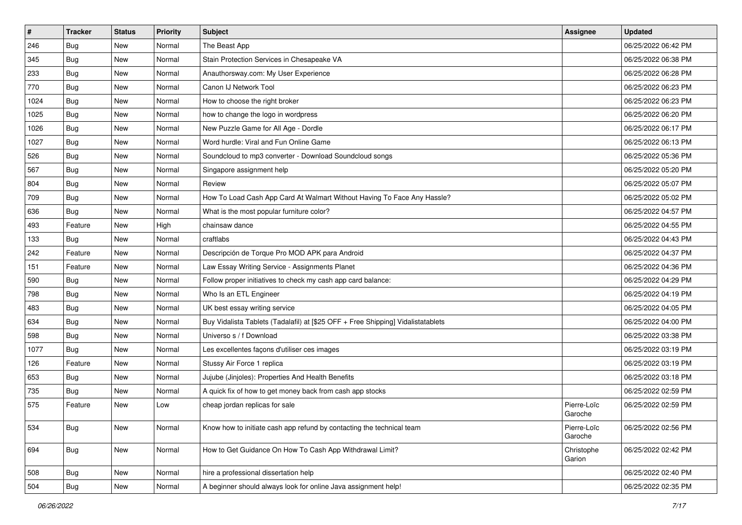| $\vert$ # | <b>Tracker</b> | <b>Status</b> | <b>Priority</b> | <b>Subject</b>                                                                   | <b>Assignee</b>        | <b>Updated</b>      |
|-----------|----------------|---------------|-----------------|----------------------------------------------------------------------------------|------------------------|---------------------|
| 246       | Bug            | New           | Normal          | The Beast App                                                                    |                        | 06/25/2022 06:42 PM |
| 345       | Bug            | <b>New</b>    | Normal          | Stain Protection Services in Chesapeake VA                                       |                        | 06/25/2022 06:38 PM |
| 233       | <b>Bug</b>     | New           | Normal          | Anauthorsway.com: My User Experience                                             |                        | 06/25/2022 06:28 PM |
| 770       | <b>Bug</b>     | New           | Normal          | Canon IJ Network Tool                                                            |                        | 06/25/2022 06:23 PM |
| 1024      | Bug            | New           | Normal          | How to choose the right broker                                                   |                        | 06/25/2022 06:23 PM |
| 1025      | Bug            | New           | Normal          | how to change the logo in wordpress                                              |                        | 06/25/2022 06:20 PM |
| 1026      | Bug            | New           | Normal          | New Puzzle Game for All Age - Dordle                                             |                        | 06/25/2022 06:17 PM |
| 1027      | Bug            | New           | Normal          | Word hurdle: Viral and Fun Online Game                                           |                        | 06/25/2022 06:13 PM |
| 526       | <b>Bug</b>     | <b>New</b>    | Normal          | Soundcloud to mp3 converter - Download Soundcloud songs                          |                        | 06/25/2022 05:36 PM |
| 567       | Bug            | New           | Normal          | Singapore assignment help                                                        |                        | 06/25/2022 05:20 PM |
| 804       | Bug            | New           | Normal          | Review                                                                           |                        | 06/25/2022 05:07 PM |
| 709       | Bug            | New           | Normal          | How To Load Cash App Card At Walmart Without Having To Face Any Hassle?          |                        | 06/25/2022 05:02 PM |
| 636       | Bug            | New           | Normal          | What is the most popular furniture color?                                        |                        | 06/25/2022 04:57 PM |
| 493       | Feature        | New           | High            | chainsaw dance                                                                   |                        | 06/25/2022 04:55 PM |
| 133       | Bug            | New           | Normal          | craftlabs                                                                        |                        | 06/25/2022 04:43 PM |
| 242       | Feature        | New           | Normal          | Descripción de Torque Pro MOD APK para Android                                   |                        | 06/25/2022 04:37 PM |
| 151       | Feature        | New           | Normal          | Law Essay Writing Service - Assignments Planet                                   |                        | 06/25/2022 04:36 PM |
| 590       | Bug            | New           | Normal          | Follow proper initiatives to check my cash app card balance:                     |                        | 06/25/2022 04:29 PM |
| 798       | Bug            | New           | Normal          | Who Is an ETL Engineer                                                           |                        | 06/25/2022 04:19 PM |
| 483       | Bug            | New           | Normal          | UK best essay writing service                                                    |                        | 06/25/2022 04:05 PM |
| 634       | Bug            | New           | Normal          | Buy Vidalista Tablets (Tadalafil) at [\$25 OFF + Free Shipping] Vidalistatablets |                        | 06/25/2022 04:00 PM |
| 598       | <b>Bug</b>     | <b>New</b>    | Normal          | Universo s / f Download                                                          |                        | 06/25/2022 03:38 PM |
| 1077      | Bug            | New           | Normal          | Les excellentes façons d'utiliser ces images                                     |                        | 06/25/2022 03:19 PM |
| 126       | Feature        | New           | Normal          | Stussy Air Force 1 replica                                                       |                        | 06/25/2022 03:19 PM |
| 653       | <b>Bug</b>     | New           | Normal          | Jujube (Jinjoles): Properties And Health Benefits                                |                        | 06/25/2022 03:18 PM |
| 735       | <b>Bug</b>     | New           | Normal          | A quick fix of how to get money back from cash app stocks                        |                        | 06/25/2022 02:59 PM |
| 575       | Feature        | New           | Low             | cheap jordan replicas for sale                                                   | Pierre-Loïc<br>Garoche | 06/25/2022 02:59 PM |
| 534       | <b>Bug</b>     | New           | Normal          | Know how to initiate cash app refund by contacting the technical team            | Pierre-Loïc<br>Garoche | 06/25/2022 02:56 PM |
| 694       | <b>Bug</b>     | New           | Normal          | How to Get Guidance On How To Cash App Withdrawal Limit?                         | Christophe<br>Garion   | 06/25/2022 02:42 PM |
| 508       | <b>Bug</b>     | New           | Normal          | hire a professional dissertation help                                            |                        | 06/25/2022 02:40 PM |
| 504       | Bug            | New           | Normal          | A beginner should always look for online Java assignment help!                   |                        | 06/25/2022 02:35 PM |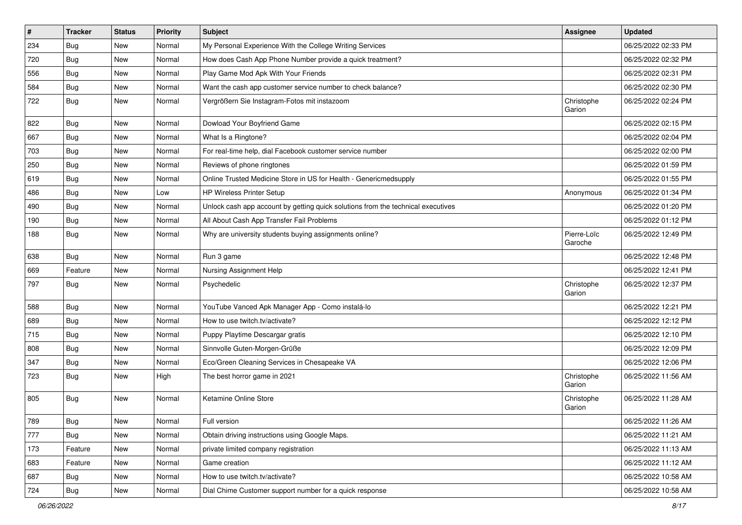| $\vert$ # | <b>Tracker</b> | <b>Status</b> | <b>Priority</b> | Subject                                                                          | Assignee               | <b>Updated</b>      |
|-----------|----------------|---------------|-----------------|----------------------------------------------------------------------------------|------------------------|---------------------|
| 234       | <b>Bug</b>     | New           | Normal          | My Personal Experience With the College Writing Services                         |                        | 06/25/2022 02:33 PM |
| 720       | Bug            | <b>New</b>    | Normal          | How does Cash App Phone Number provide a quick treatment?                        |                        | 06/25/2022 02:32 PM |
| 556       | <b>Bug</b>     | New           | Normal          | Play Game Mod Apk With Your Friends                                              |                        | 06/25/2022 02:31 PM |
| 584       | <b>Bug</b>     | New           | Normal          | Want the cash app customer service number to check balance?                      |                        | 06/25/2022 02:30 PM |
| 722       | Bug            | New           | Normal          | Vergrößern Sie Instagram-Fotos mit instazoom                                     | Christophe<br>Garion   | 06/25/2022 02:24 PM |
| 822       | <b>Bug</b>     | New           | Normal          | Dowload Your Boyfriend Game                                                      |                        | 06/25/2022 02:15 PM |
| 667       | Bug            | New           | Normal          | What Is a Ringtone?                                                              |                        | 06/25/2022 02:04 PM |
| 703       | <b>Bug</b>     | New           | Normal          | For real-time help, dial Facebook customer service number                        |                        | 06/25/2022 02:00 PM |
| 250       | Bug            | New           | Normal          | Reviews of phone ringtones                                                       |                        | 06/25/2022 01:59 PM |
| 619       | <b>Bug</b>     | New           | Normal          | Online Trusted Medicine Store in US for Health - Genericmedsupply                |                        | 06/25/2022 01:55 PM |
| 486       | <b>Bug</b>     | New           | Low             | HP Wireless Printer Setup                                                        | Anonymous              | 06/25/2022 01:34 PM |
| 490       | Bug            | New           | Normal          | Unlock cash app account by getting quick solutions from the technical executives |                        | 06/25/2022 01:20 PM |
| 190       | <b>Bug</b>     | New           | Normal          | All About Cash App Transfer Fail Problems                                        |                        | 06/25/2022 01:12 PM |
| 188       | <b>Bug</b>     | New           | Normal          | Why are university students buying assignments online?                           | Pierre-Loïc<br>Garoche | 06/25/2022 12:49 PM |
| 638       | Bug            | New           | Normal          | Run 3 game                                                                       |                        | 06/25/2022 12:48 PM |
| 669       | Feature        | New           | Normal          | Nursing Assignment Help                                                          |                        | 06/25/2022 12:41 PM |
| 797       | Bug            | New           | Normal          | Psychedelic                                                                      | Christophe<br>Garion   | 06/25/2022 12:37 PM |
| 588       | Bug            | <b>New</b>    | Normal          | YouTube Vanced Apk Manager App - Como instalá-lo                                 |                        | 06/25/2022 12:21 PM |
| 689       | Bug            | New           | Normal          | How to use twitch.tv/activate?                                                   |                        | 06/25/2022 12:12 PM |
| 715       | Bug            | New           | Normal          | Puppy Playtime Descargar gratis                                                  |                        | 06/25/2022 12:10 PM |
| 808       | Bug            | New           | Normal          | Sinnvolle Guten-Morgen-Grüße                                                     |                        | 06/25/2022 12:09 PM |
| 347       | Bug            | New           | Normal          | Eco/Green Cleaning Services in Chesapeake VA                                     |                        | 06/25/2022 12:06 PM |
| 723       | Bug            | New           | High            | The best horror game in 2021                                                     | Christophe<br>Garion   | 06/25/2022 11:56 AM |
| 805       | Bug            | New           | Normal          | Ketamine Online Store                                                            | Christophe<br>Garion   | 06/25/2022 11:28 AM |
| 789       | Bug            | New           | Normal          | Full version                                                                     |                        | 06/25/2022 11:26 AM |
| 777       | Bug            | New           | Normal          | Obtain driving instructions using Google Maps.                                   |                        | 06/25/2022 11:21 AM |
| 173       | Feature        | New           | Normal          | private limited company registration                                             |                        | 06/25/2022 11:13 AM |
| 683       | Feature        | New           | Normal          | Game creation                                                                    |                        | 06/25/2022 11:12 AM |
| 687       | Bug            | New           | Normal          | How to use twitch.tv/activate?                                                   |                        | 06/25/2022 10:58 AM |
| 724       | Bug            | New           | Normal          | Dial Chime Customer support number for a quick response                          |                        | 06/25/2022 10:58 AM |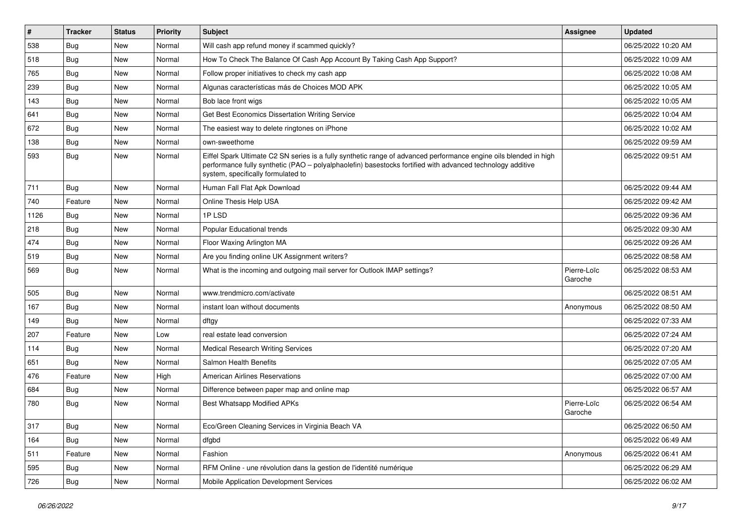| $\vert$ # | <b>Tracker</b> | <b>Status</b> | <b>Priority</b> | Subject                                                                                                                                                                                                                                                               | <b>Assignee</b>        | <b>Updated</b>      |
|-----------|----------------|---------------|-----------------|-----------------------------------------------------------------------------------------------------------------------------------------------------------------------------------------------------------------------------------------------------------------------|------------------------|---------------------|
| 538       | <b>Bug</b>     | New           | Normal          | Will cash app refund money if scammed quickly?                                                                                                                                                                                                                        |                        | 06/25/2022 10:20 AM |
| 518       | <b>Bug</b>     | <b>New</b>    | Normal          | How To Check The Balance Of Cash App Account By Taking Cash App Support?                                                                                                                                                                                              |                        | 06/25/2022 10:09 AM |
| 765       | Bug            | New           | Normal          | Follow proper initiatives to check my cash app                                                                                                                                                                                                                        |                        | 06/25/2022 10:08 AM |
| 239       | <b>Bug</b>     | New           | Normal          | Algunas características más de Choices MOD APK                                                                                                                                                                                                                        |                        | 06/25/2022 10:05 AM |
| 143       | Bug            | New           | Normal          | Bob lace front wigs                                                                                                                                                                                                                                                   |                        | 06/25/2022 10:05 AM |
| 641       | Bug            | New           | Normal          | Get Best Economics Dissertation Writing Service                                                                                                                                                                                                                       |                        | 06/25/2022 10:04 AM |
| 672       | Bug            | New           | Normal          | The easiest way to delete ringtones on iPhone                                                                                                                                                                                                                         |                        | 06/25/2022 10:02 AM |
| 138       | <b>Bug</b>     | New           | Normal          | own-sweethome                                                                                                                                                                                                                                                         |                        | 06/25/2022 09:59 AM |
| 593       | <b>Bug</b>     | New           | Normal          | Eiffel Spark Ultimate C2 SN series is a fully synthetic range of advanced performance engine oils blended in high<br>performance fully synthetic (PAO - polyalphaolefin) basestocks fortified with advanced technology additive<br>system, specifically formulated to |                        | 06/25/2022 09:51 AM |
| 711       | Bug            | <b>New</b>    | Normal          | Human Fall Flat Apk Download                                                                                                                                                                                                                                          |                        | 06/25/2022 09:44 AM |
| 740       | Feature        | New           | Normal          | Online Thesis Help USA                                                                                                                                                                                                                                                |                        | 06/25/2022 09:42 AM |
| 1126      | <b>Bug</b>     | New           | Normal          | 1PLSD                                                                                                                                                                                                                                                                 |                        | 06/25/2022 09:36 AM |
| 218       | Bug            | New           | Normal          | <b>Popular Educational trends</b>                                                                                                                                                                                                                                     |                        | 06/25/2022 09:30 AM |
| 474       | Bug            | New           | Normal          | Floor Waxing Arlington MA                                                                                                                                                                                                                                             |                        | 06/25/2022 09:26 AM |
| 519       | <b>Bug</b>     | New           | Normal          | Are you finding online UK Assignment writers?                                                                                                                                                                                                                         |                        | 06/25/2022 08:58 AM |
| 569       | Bug            | New           | Normal          | What is the incoming and outgoing mail server for Outlook IMAP settings?                                                                                                                                                                                              | Pierre-Loïc<br>Garoche | 06/25/2022 08:53 AM |
| 505       | Bug            | <b>New</b>    | Normal          | www.trendmicro.com/activate                                                                                                                                                                                                                                           |                        | 06/25/2022 08:51 AM |
| 167       | Bug            | New           | Normal          | instant loan without documents                                                                                                                                                                                                                                        | Anonymous              | 06/25/2022 08:50 AM |
| 149       | Bug            | New           | Normal          | dftgy                                                                                                                                                                                                                                                                 |                        | 06/25/2022 07:33 AM |
| 207       | Feature        | New           | Low             | real estate lead conversion                                                                                                                                                                                                                                           |                        | 06/25/2022 07:24 AM |
| 114       | Bug            | New           | Normal          | <b>Medical Research Writing Services</b>                                                                                                                                                                                                                              |                        | 06/25/2022 07:20 AM |
| 651       | <b>Bug</b>     | <b>New</b>    | Normal          | Salmon Health Benefits                                                                                                                                                                                                                                                |                        | 06/25/2022 07:05 AM |
| 476       | Feature        | New           | High            | <b>American Airlines Reservations</b>                                                                                                                                                                                                                                 |                        | 06/25/2022 07:00 AM |
| 684       | <b>Bug</b>     | New           | Normal          | Difference between paper map and online map                                                                                                                                                                                                                           |                        | 06/25/2022 06:57 AM |
| 780       | <b>Bug</b>     | New           | Normal          | Best Whatsapp Modified APKs                                                                                                                                                                                                                                           | Pierre-Loïc<br>Garoche | 06/25/2022 06:54 AM |
| 317       | <b>Bug</b>     | New           | Normal          | Eco/Green Cleaning Services in Virginia Beach VA                                                                                                                                                                                                                      |                        | 06/25/2022 06:50 AM |
| 164       | Bug            | New           | Normal          | dfgbd                                                                                                                                                                                                                                                                 |                        | 06/25/2022 06:49 AM |
| 511       | Feature        | New           | Normal          | Fashion                                                                                                                                                                                                                                                               | Anonymous              | 06/25/2022 06:41 AM |
| 595       | <b>Bug</b>     | New           | Normal          | RFM Online - une révolution dans la gestion de l'identité numérique                                                                                                                                                                                                   |                        | 06/25/2022 06:29 AM |
| 726       | <b>Bug</b>     | New           | Normal          | Mobile Application Development Services                                                                                                                                                                                                                               |                        | 06/25/2022 06:02 AM |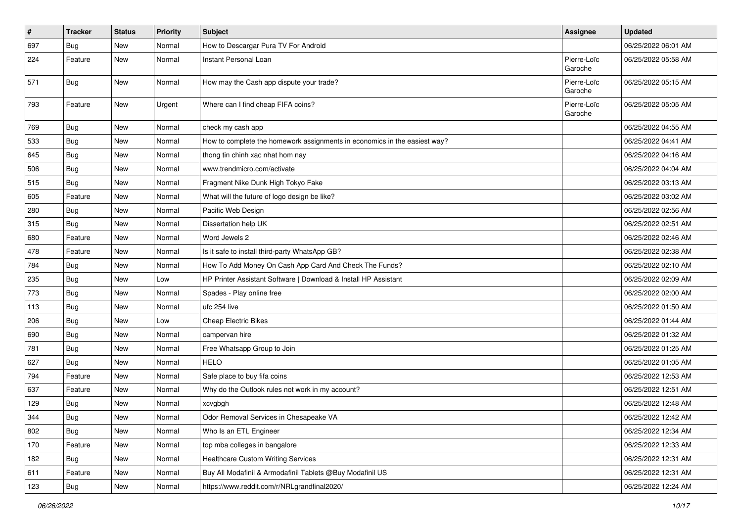| $\sharp$ | <b>Tracker</b> | <b>Status</b> | <b>Priority</b> | Subject                                                                   | <b>Assignee</b>        | <b>Updated</b>      |
|----------|----------------|---------------|-----------------|---------------------------------------------------------------------------|------------------------|---------------------|
| 697      | <b>Bug</b>     | New           | Normal          | How to Descargar Pura TV For Android                                      |                        | 06/25/2022 06:01 AM |
| 224      | Feature        | New           | Normal          | Instant Personal Loan                                                     | Pierre-Loïc<br>Garoche | 06/25/2022 05:58 AM |
| 571      | <b>Bug</b>     | New           | Normal          | How may the Cash app dispute your trade?                                  | Pierre-Loïc<br>Garoche | 06/25/2022 05:15 AM |
| 793      | Feature        | New           | Urgent          | Where can I find cheap FIFA coins?                                        | Pierre-Loïc<br>Garoche | 06/25/2022 05:05 AM |
| 769      | Bug            | New           | Normal          | check my cash app                                                         |                        | 06/25/2022 04:55 AM |
| 533      | <b>Bug</b>     | New           | Normal          | How to complete the homework assignments in economics in the easiest way? |                        | 06/25/2022 04:41 AM |
| 645      | <b>Bug</b>     | New           | Normal          | thong tin chinh xac nhat hom nay                                          |                        | 06/25/2022 04:16 AM |
| 506      | Bug            | New           | Normal          | www.trendmicro.com/activate                                               |                        | 06/25/2022 04:04 AM |
| 515      | <b>Bug</b>     | New           | Normal          | Fragment Nike Dunk High Tokyo Fake                                        |                        | 06/25/2022 03:13 AM |
| 605      | Feature        | New           | Normal          | What will the future of logo design be like?                              |                        | 06/25/2022 03:02 AM |
| 280      | Bug            | New           | Normal          | Pacific Web Design                                                        |                        | 06/25/2022 02:56 AM |
| 315      | Bug            | New           | Normal          | Dissertation help UK                                                      |                        | 06/25/2022 02:51 AM |
| 680      | Feature        | New           | Normal          | Word Jewels 2                                                             |                        | 06/25/2022 02:46 AM |
| 478      | Feature        | New           | Normal          | Is it safe to install third-party WhatsApp GB?                            |                        | 06/25/2022 02:38 AM |
| 784      | Bug            | New           | Normal          | How To Add Money On Cash App Card And Check The Funds?                    |                        | 06/25/2022 02:10 AM |
| 235      | <b>Bug</b>     | New           | Low             | HP Printer Assistant Software   Download & Install HP Assistant           |                        | 06/25/2022 02:09 AM |
| 773      | Bug            | New           | Normal          | Spades - Play online free                                                 |                        | 06/25/2022 02:00 AM |
| 113      | Bug            | New           | Normal          | ufc 254 live                                                              |                        | 06/25/2022 01:50 AM |
| 206      | <b>Bug</b>     | New           | Low             | <b>Cheap Electric Bikes</b>                                               |                        | 06/25/2022 01:44 AM |
| 690      | Bug            | New           | Normal          | campervan hire                                                            |                        | 06/25/2022 01:32 AM |
| 781      | Bug            | New           | Normal          | Free Whatsapp Group to Join                                               |                        | 06/25/2022 01:25 AM |
| 627      | <b>Bug</b>     | New           | Normal          | <b>HELO</b>                                                               |                        | 06/25/2022 01:05 AM |
| 794      | Feature        | New           | Normal          | Safe place to buy fifa coins                                              |                        | 06/25/2022 12:53 AM |
| 637      | Feature        | New           | Normal          | Why do the Outlook rules not work in my account?                          |                        | 06/25/2022 12:51 AM |
| 129      | <b>Bug</b>     | New           | Normal          | xcvgbgh                                                                   |                        | 06/25/2022 12:48 AM |
| 344      | <b>Bug</b>     | New           | Normal          | Odor Removal Services in Chesapeake VA                                    |                        | 06/25/2022 12:42 AM |
| 802      | <b>Bug</b>     | New           | Normal          | Who Is an ETL Engineer                                                    |                        | 06/25/2022 12:34 AM |
| 170      | Feature        | New           | Normal          | top mba colleges in bangalore                                             |                        | 06/25/2022 12:33 AM |
| 182      | <b>Bug</b>     | New           | Normal          | Healthcare Custom Writing Services                                        |                        | 06/25/2022 12:31 AM |
| 611      | Feature        | New           | Normal          | Buy All Modafinil & Armodafinil Tablets @Buy Modafinil US                 |                        | 06/25/2022 12:31 AM |
| 123      | <b>Bug</b>     | New           | Normal          | https://www.reddit.com/r/NRLgrandfinal2020/                               |                        | 06/25/2022 12:24 AM |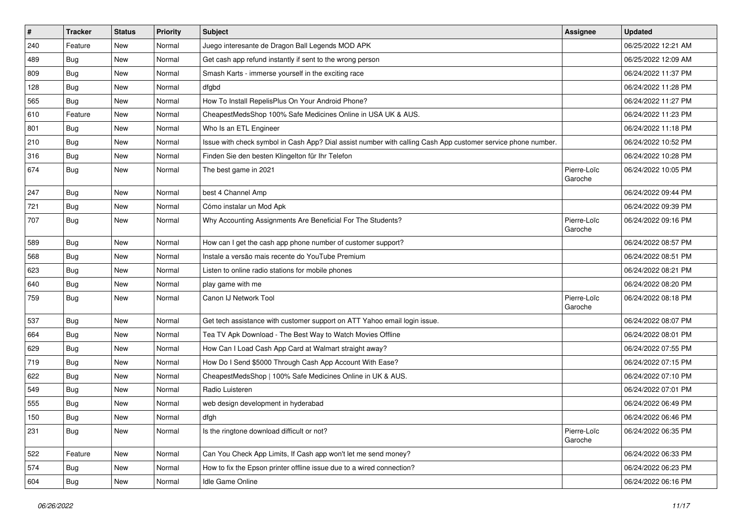| $\vert$ # | <b>Tracker</b> | <b>Status</b> | Priority | Subject                                                                                                      | <b>Assignee</b>        | <b>Updated</b>      |
|-----------|----------------|---------------|----------|--------------------------------------------------------------------------------------------------------------|------------------------|---------------------|
| 240       | Feature        | New           | Normal   | Juego interesante de Dragon Ball Legends MOD APK                                                             |                        | 06/25/2022 12:21 AM |
| 489       | <b>Bug</b>     | New           | Normal   | Get cash app refund instantly if sent to the wrong person                                                    |                        | 06/25/2022 12:09 AM |
| 809       | <b>Bug</b>     | New           | Normal   | Smash Karts - immerse yourself in the exciting race                                                          |                        | 06/24/2022 11:37 PM |
| 128       | Bug            | New           | Normal   | dfgbd                                                                                                        |                        | 06/24/2022 11:28 PM |
| 565       | Bug            | New           | Normal   | How To Install RepelisPlus On Your Android Phone?                                                            |                        | 06/24/2022 11:27 PM |
| 610       | Feature        | New           | Normal   | CheapestMedsShop 100% Safe Medicines Online in USA UK & AUS.                                                 |                        | 06/24/2022 11:23 PM |
| 801       | <b>Bug</b>     | New           | Normal   | Who Is an ETL Engineer                                                                                       |                        | 06/24/2022 11:18 PM |
| 210       | Bug            | New           | Normal   | Issue with check symbol in Cash App? Dial assist number with calling Cash App customer service phone number. |                        | 06/24/2022 10:52 PM |
| 316       | <b>Bug</b>     | New           | Normal   | Finden Sie den besten Klingelton für Ihr Telefon                                                             |                        | 06/24/2022 10:28 PM |
| 674       | <b>Bug</b>     | New           | Normal   | The best game in 2021                                                                                        | Pierre-Loïc<br>Garoche | 06/24/2022 10:05 PM |
| 247       | Bug            | New           | Normal   | best 4 Channel Amp                                                                                           |                        | 06/24/2022 09:44 PM |
| 721       | Bug            | New           | Normal   | Cómo instalar un Mod Apk                                                                                     |                        | 06/24/2022 09:39 PM |
| 707       | <b>Bug</b>     | New           | Normal   | Why Accounting Assignments Are Beneficial For The Students?                                                  | Pierre-Loïc<br>Garoche | 06/24/2022 09:16 PM |
| 589       | <b>Bug</b>     | New           | Normal   | How can I get the cash app phone number of customer support?                                                 |                        | 06/24/2022 08:57 PM |
| 568       | <b>Bug</b>     | New           | Normal   | Instale a versão mais recente do YouTube Premium                                                             |                        | 06/24/2022 08:51 PM |
| 623       | Bug            | New           | Normal   | Listen to online radio stations for mobile phones                                                            |                        | 06/24/2022 08:21 PM |
| 640       | <b>Bug</b>     | New           | Normal   | play game with me                                                                                            |                        | 06/24/2022 08:20 PM |
| 759       | <b>Bug</b>     | New           | Normal   | Canon IJ Network Tool                                                                                        | Pierre-Loïc<br>Garoche | 06/24/2022 08:18 PM |
| 537       | Bug            | New           | Normal   | Get tech assistance with customer support on ATT Yahoo email login issue.                                    |                        | 06/24/2022 08:07 PM |
| 664       | <b>Bug</b>     | New           | Normal   | Tea TV Apk Download - The Best Way to Watch Movies Offline                                                   |                        | 06/24/2022 08:01 PM |
| 629       | Bug            | New           | Normal   | How Can I Load Cash App Card at Walmart straight away?                                                       |                        | 06/24/2022 07:55 PM |
| 719       | <b>Bug</b>     | New           | Normal   | How Do I Send \$5000 Through Cash App Account With Ease?                                                     |                        | 06/24/2022 07:15 PM |
| 622       | Bug            | New           | Normal   | CheapestMedsShop   100% Safe Medicines Online in UK & AUS.                                                   |                        | 06/24/2022 07:10 PM |
| 549       | <b>Bug</b>     | New           | Normal   | Radio Luisteren                                                                                              |                        | 06/24/2022 07:01 PM |
| 555       | <b>Bug</b>     | New           | Normal   | web design development in hyderabad                                                                          |                        | 06/24/2022 06:49 PM |
| 150       | Bug            | New           | Normal   | dfgh                                                                                                         |                        | 06/24/2022 06:46 PM |
| 231       | Bug            | New           | Normal   | Is the ringtone download difficult or not?                                                                   | Pierre-Loïc<br>Garoche | 06/24/2022 06:35 PM |
| 522       | Feature        | New           | Normal   | Can You Check App Limits, If Cash app won't let me send money?                                               |                        | 06/24/2022 06:33 PM |
| 574       | <b>Bug</b>     | New           | Normal   | How to fix the Epson printer offline issue due to a wired connection?                                        |                        | 06/24/2022 06:23 PM |
| 604       | Bug            | New           | Normal   | Idle Game Online                                                                                             |                        | 06/24/2022 06:16 PM |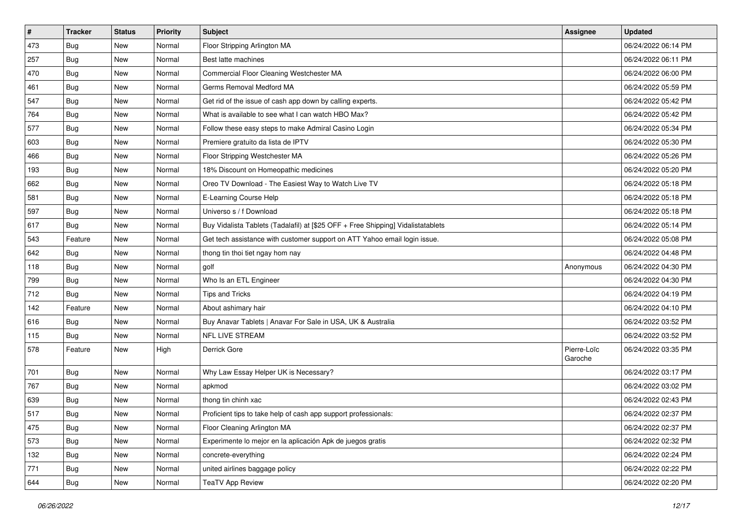| $\vert$ # | <b>Tracker</b> | <b>Status</b> | <b>Priority</b> | Subject                                                                          | <b>Assignee</b>        | <b>Updated</b>      |
|-----------|----------------|---------------|-----------------|----------------------------------------------------------------------------------|------------------------|---------------------|
| 473       | <b>Bug</b>     | New           | Normal          | Floor Stripping Arlington MA                                                     |                        | 06/24/2022 06:14 PM |
| 257       | Bug            | New           | Normal          | Best latte machines                                                              |                        | 06/24/2022 06:11 PM |
| 470       | Bug            | New           | Normal          | Commercial Floor Cleaning Westchester MA                                         |                        | 06/24/2022 06:00 PM |
| 461       | <b>Bug</b>     | New           | Normal          | Germs Removal Medford MA                                                         |                        | 06/24/2022 05:59 PM |
| 547       | Bug            | New           | Normal          | Get rid of the issue of cash app down by calling experts.                        |                        | 06/24/2022 05:42 PM |
| 764       | <b>Bug</b>     | New           | Normal          | What is available to see what I can watch HBO Max?                               |                        | 06/24/2022 05:42 PM |
| 577       | <b>Bug</b>     | New           | Normal          | Follow these easy steps to make Admiral Casino Login                             |                        | 06/24/2022 05:34 PM |
| 603       | Bug            | New           | Normal          | Premiere gratuito da lista de IPTV                                               |                        | 06/24/2022 05:30 PM |
| 466       | <b>Bug</b>     | New           | Normal          | Floor Stripping Westchester MA                                                   |                        | 06/24/2022 05:26 PM |
| 193       | Bug            | New           | Normal          | 18% Discount on Homeopathic medicines                                            |                        | 06/24/2022 05:20 PM |
| 662       | <b>Bug</b>     | New           | Normal          | Oreo TV Download - The Easiest Way to Watch Live TV                              |                        | 06/24/2022 05:18 PM |
| 581       | Bug            | New           | Normal          | E-Learning Course Help                                                           |                        | 06/24/2022 05:18 PM |
| 597       | Bug            | <b>New</b>    | Normal          | Universo s / f Download                                                          |                        | 06/24/2022 05:18 PM |
| 617       | Bug            | New           | Normal          | Buy Vidalista Tablets (Tadalafil) at [\$25 OFF + Free Shipping] Vidalistatablets |                        | 06/24/2022 05:14 PM |
| 543       | Feature        | <b>New</b>    | Normal          | Get tech assistance with customer support on ATT Yahoo email login issue.        |                        | 06/24/2022 05:08 PM |
| 642       | <b>Bug</b>     | New           | Normal          | thong tin thoi tiet ngay hom nay                                                 |                        | 06/24/2022 04:48 PM |
| 118       | <b>Bug</b>     | New           | Normal          | golf                                                                             | Anonymous              | 06/24/2022 04:30 PM |
| 799       | Bug            | New           | Normal          | Who Is an ETL Engineer                                                           |                        | 06/24/2022 04:30 PM |
| 712       | Bug            | New           | Normal          | <b>Tips and Tricks</b>                                                           |                        | 06/24/2022 04:19 PM |
| 142       | Feature        | New           | Normal          | About ashimary hair                                                              |                        | 06/24/2022 04:10 PM |
| 616       | Bug            | New           | Normal          | Buy Anavar Tablets   Anavar For Sale in USA, UK & Australia                      |                        | 06/24/2022 03:52 PM |
| 115       | <b>Bug</b>     | New           | Normal          | NFL LIVE STREAM                                                                  |                        | 06/24/2022 03:52 PM |
| 578       | Feature        | New           | High            | Derrick Gore                                                                     | Pierre-Loïc<br>Garoche | 06/24/2022 03:35 PM |
| 701       | <b>Bug</b>     | New           | Normal          | Why Law Essay Helper UK is Necessary?                                            |                        | 06/24/2022 03:17 PM |
| 767       | Bug            | New           | Normal          | apkmod                                                                           |                        | 06/24/2022 03:02 PM |
| 639       | <b>Bug</b>     | New           | Normal          | thong tin chinh xac                                                              |                        | 06/24/2022 02:43 PM |
| 517       | <b>Bug</b>     | New           | Normal          | Proficient tips to take help of cash app support professionals:                  |                        | 06/24/2022 02:37 PM |
| 475       | <b>Bug</b>     | New           | Normal          | Floor Cleaning Arlington MA                                                      |                        | 06/24/2022 02:37 PM |
| 573       | <b>Bug</b>     | New           | Normal          | Experimente lo mejor en la aplicación Apk de juegos gratis                       |                        | 06/24/2022 02:32 PM |
| 132       | Bug            | New           | Normal          | concrete-everything                                                              |                        | 06/24/2022 02:24 PM |
| 771       | <b>Bug</b>     | New           | Normal          | united airlines baggage policy                                                   |                        | 06/24/2022 02:22 PM |
| 644       | Bug            | New           | Normal          | <b>TeaTV App Review</b>                                                          |                        | 06/24/2022 02:20 PM |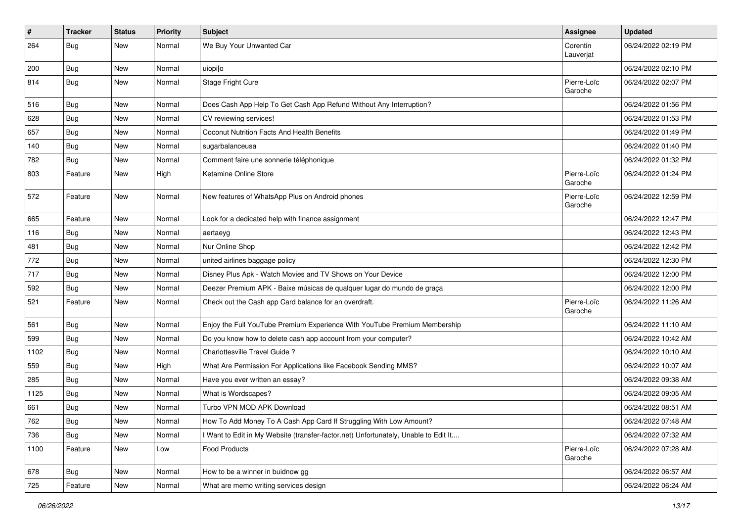| $\vert$ # | <b>Tracker</b> | <b>Status</b> | <b>Priority</b> | Subject                                                                             | <b>Assignee</b>        | <b>Updated</b>      |
|-----------|----------------|---------------|-----------------|-------------------------------------------------------------------------------------|------------------------|---------------------|
| 264       | <b>Bug</b>     | New           | Normal          | We Buy Your Unwanted Car                                                            | Corentin<br>Lauverjat  | 06/24/2022 02:19 PM |
| 200       | Bug            | New           | Normal          | uiopi[o                                                                             |                        | 06/24/2022 02:10 PM |
| 814       | <b>Bug</b>     | New           | Normal          | Stage Fright Cure                                                                   | Pierre-Loïc<br>Garoche | 06/24/2022 02:07 PM |
| 516       | <b>Bug</b>     | New           | Normal          | Does Cash App Help To Get Cash App Refund Without Any Interruption?                 |                        | 06/24/2022 01:56 PM |
| 628       | <b>Bug</b>     | New           | Normal          | CV reviewing services!                                                              |                        | 06/24/2022 01:53 PM |
| 657       | <b>Bug</b>     | New           | Normal          | Coconut Nutrition Facts And Health Benefits                                         |                        | 06/24/2022 01:49 PM |
| 140       | Bug            | New           | Normal          | sugarbalanceusa                                                                     |                        | 06/24/2022 01:40 PM |
| 782       | <b>Bug</b>     | New           | Normal          | Comment faire une sonnerie téléphonique                                             |                        | 06/24/2022 01:32 PM |
| 803       | Feature        | New           | High            | Ketamine Online Store                                                               | Pierre-Loïc<br>Garoche | 06/24/2022 01:24 PM |
| 572       | Feature        | New           | Normal          | New features of WhatsApp Plus on Android phones                                     | Pierre-Loïc<br>Garoche | 06/24/2022 12:59 PM |
| 665       | Feature        | New           | Normal          | Look for a dedicated help with finance assignment                                   |                        | 06/24/2022 12:47 PM |
| 116       | Bug            | New           | Normal          | aertaeyg                                                                            |                        | 06/24/2022 12:43 PM |
| 481       | <b>Bug</b>     | New           | Normal          | Nur Online Shop                                                                     |                        | 06/24/2022 12:42 PM |
| 772       | <b>Bug</b>     | New           | Normal          | united airlines baggage policy                                                      |                        | 06/24/2022 12:30 PM |
| 717       | Bug            | New           | Normal          | Disney Plus Apk - Watch Movies and TV Shows on Your Device                          |                        | 06/24/2022 12:00 PM |
| 592       | <b>Bug</b>     | New           | Normal          | Deezer Premium APK - Baixe músicas de qualquer lugar do mundo de graça              |                        | 06/24/2022 12:00 PM |
| 521       | Feature        | New           | Normal          | Check out the Cash app Card balance for an overdraft.                               | Pierre-Loïc<br>Garoche | 06/24/2022 11:26 AM |
| 561       | Bug            | <b>New</b>    | Normal          | Enjoy the Full YouTube Premium Experience With YouTube Premium Membership           |                        | 06/24/2022 11:10 AM |
| 599       | Bug            | New           | Normal          | Do you know how to delete cash app account from your computer?                      |                        | 06/24/2022 10:42 AM |
| 1102      | <b>Bug</b>     | New           | Normal          | Charlottesville Travel Guide?                                                       |                        | 06/24/2022 10:10 AM |
| 559       | Bug            | New           | High            | What Are Permission For Applications like Facebook Sending MMS?                     |                        | 06/24/2022 10:07 AM |
| 285       | <b>Bug</b>     | New           | Normal          | Have you ever written an essay?                                                     |                        | 06/24/2022 09:38 AM |
| 1125      | <b>Bug</b>     | New           | Normal          | What is Wordscapes?                                                                 |                        | 06/24/2022 09:05 AM |
| 661       | <b>Bug</b>     | New           | Normal          | Turbo VPN MOD APK Download                                                          |                        | 06/24/2022 08:51 AM |
| 762       | Bug            | New           | Normal          | How To Add Money To A Cash App Card If Struggling With Low Amount?                  |                        | 06/24/2022 07:48 AM |
| 736       | Bug            | New           | Normal          | I Want to Edit in My Website (transfer-factor.net) Unfortunately, Unable to Edit It |                        | 06/24/2022 07:32 AM |
| 1100      | Feature        | New           | Low             | Food Products                                                                       | Pierre-Loïc<br>Garoche | 06/24/2022 07:28 AM |
| 678       | Bug            | New           | Normal          | How to be a winner in buidnow gg                                                    |                        | 06/24/2022 06:57 AM |
| 725       | Feature        | New           | Normal          | What are memo writing services design                                               |                        | 06/24/2022 06:24 AM |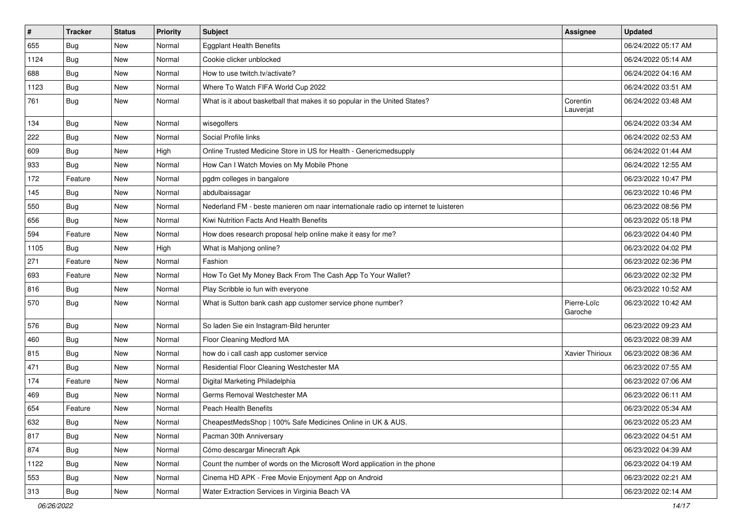| #    | <b>Tracker</b> | <b>Status</b> | Priority | Subject                                                                             | Assignee               | <b>Updated</b>      |
|------|----------------|---------------|----------|-------------------------------------------------------------------------------------|------------------------|---------------------|
| 655  | <b>Bug</b>     | New           | Normal   | Eggplant Health Benefits                                                            |                        | 06/24/2022 05:17 AM |
| 1124 | <b>Bug</b>     | New           | Normal   | Cookie clicker unblocked                                                            |                        | 06/24/2022 05:14 AM |
| 688  | <b>Bug</b>     | New           | Normal   | How to use twitch.tv/activate?                                                      |                        | 06/24/2022 04:16 AM |
| 1123 | <b>Bug</b>     | New           | Normal   | Where To Watch FIFA World Cup 2022                                                  |                        | 06/24/2022 03:51 AM |
| 761  | <b>Bug</b>     | New           | Normal   | What is it about basketball that makes it so popular in the United States?          | Corentin<br>Lauverjat  | 06/24/2022 03:48 AM |
| 134  | <b>Bug</b>     | New           | Normal   | wisegolfers                                                                         |                        | 06/24/2022 03:34 AM |
| 222  | Bug            | New           | Normal   | Social Profile links                                                                |                        | 06/24/2022 02:53 AM |
| 609  | Bug            | New           | High     | Online Trusted Medicine Store in US for Health - Genericmedsupply                   |                        | 06/24/2022 01:44 AM |
| 933  | <b>Bug</b>     | <b>New</b>    | Normal   | How Can I Watch Movies on My Mobile Phone                                           |                        | 06/24/2022 12:55 AM |
| 172  | Feature        | New           | Normal   | pgdm colleges in bangalore                                                          |                        | 06/23/2022 10:47 PM |
| 145  | <b>Bug</b>     | New           | Normal   | abdulbaissagar                                                                      |                        | 06/23/2022 10:46 PM |
| 550  | Bug            | New           | Normal   | Nederland FM - beste manieren om naar internationale radio op internet te luisteren |                        | 06/23/2022 08:56 PM |
| 656  | Bug            | New           | Normal   | Kiwi Nutrition Facts And Health Benefits                                            |                        | 06/23/2022 05:18 PM |
| 594  | Feature        | New           | Normal   | How does research proposal help online make it easy for me?                         |                        | 06/23/2022 04:40 PM |
| 1105 | Bug            | New           | High     | What is Mahjong online?                                                             |                        | 06/23/2022 04:02 PM |
| 271  | Feature        | New           | Normal   | Fashion                                                                             |                        | 06/23/2022 02:36 PM |
| 693  | Feature        | New           | Normal   | How To Get My Money Back From The Cash App To Your Wallet?                          |                        | 06/23/2022 02:32 PM |
| 816  | <b>Bug</b>     | New           | Normal   | Play Scribble io fun with everyone                                                  |                        | 06/23/2022 10:52 AM |
| 570  | Bug            | New           | Normal   | What is Sutton bank cash app customer service phone number?                         | Pierre-Loïc<br>Garoche | 06/23/2022 10:42 AM |
| 576  | Bug            | New           | Normal   | So laden Sie ein Instagram-Bild herunter                                            |                        | 06/23/2022 09:23 AM |
| 460  | Bug            | New           | Normal   | Floor Cleaning Medford MA                                                           |                        | 06/23/2022 08:39 AM |
| 815  | Bug            | New           | Normal   | how do i call cash app customer service                                             | Xavier Thirioux        | 06/23/2022 08:36 AM |
| 471  | <b>Bug</b>     | New           | Normal   | Residential Floor Cleaning Westchester MA                                           |                        | 06/23/2022 07:55 AM |
| 174  | Feature        | New           | Normal   | Digital Marketing Philadelphia                                                      |                        | 06/23/2022 07:06 AM |
| 469  | <b>Bug</b>     | New           | Normal   | Germs Removal Westchester MA                                                        |                        | 06/23/2022 06:11 AM |
| 654  | Feature        | New           | Normal   | Peach Health Benefits                                                               |                        | 06/23/2022 05:34 AM |
| 632  | Bug            | New           | Normal   | CheapestMedsShop   100% Safe Medicines Online in UK & AUS.                          |                        | 06/23/2022 05:23 AM |
| 817  | Bug            | New           | Normal   | Pacman 30th Anniversary                                                             |                        | 06/23/2022 04:51 AM |
| 874  | <b>Bug</b>     | New           | Normal   | Cómo descargar Minecraft Apk                                                        |                        | 06/23/2022 04:39 AM |
| 1122 | <b>Bug</b>     | New           | Normal   | Count the number of words on the Microsoft Word application in the phone            |                        | 06/23/2022 04:19 AM |
| 553  | <b>Bug</b>     | New           | Normal   | Cinema HD APK - Free Movie Enjoyment App on Android                                 |                        | 06/23/2022 02:21 AM |
| 313  | <b>Bug</b>     | New           | Normal   | Water Extraction Services in Virginia Beach VA                                      |                        | 06/23/2022 02:14 AM |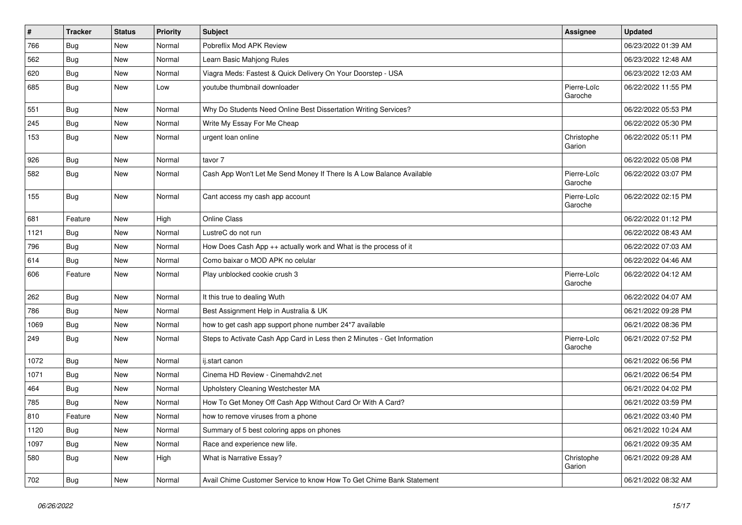| $\sharp$ | <b>Tracker</b> | <b>Status</b> | Priority | Subject                                                                  | <b>Assignee</b>        | <b>Updated</b>      |
|----------|----------------|---------------|----------|--------------------------------------------------------------------------|------------------------|---------------------|
| 766      | <b>Bug</b>     | New           | Normal   | Pobreflix Mod APK Review                                                 |                        | 06/23/2022 01:39 AM |
| 562      | Bug            | <b>New</b>    | Normal   | Learn Basic Mahjong Rules                                                |                        | 06/23/2022 12:48 AM |
| 620      | <b>Bug</b>     | New           | Normal   | Viagra Meds: Fastest & Quick Delivery On Your Doorstep - USA             |                        | 06/23/2022 12:03 AM |
| 685      | Bug            | New           | Low      | youtube thumbnail downloader                                             | Pierre-Loïc<br>Garoche | 06/22/2022 11:55 PM |
| 551      | <b>Bug</b>     | New           | Normal   | Why Do Students Need Online Best Dissertation Writing Services?          |                        | 06/22/2022 05:53 PM |
| 245      | Bug            | New           | Normal   | Write My Essay For Me Cheap                                              |                        | 06/22/2022 05:30 PM |
| 153      | Bug            | New           | Normal   | urgent loan online                                                       | Christophe<br>Garion   | 06/22/2022 05:11 PM |
| 926      | Bug            | New           | Normal   | tavor 7                                                                  |                        | 06/22/2022 05:08 PM |
| 582      | Bug            | New           | Normal   | Cash App Won't Let Me Send Money If There Is A Low Balance Available     | Pierre-Loïc<br>Garoche | 06/22/2022 03:07 PM |
| 155      | Bug            | New           | Normal   | Cant access my cash app account                                          | Pierre-Loïc<br>Garoche | 06/22/2022 02:15 PM |
| 681      | Feature        | New           | High     | Online Class                                                             |                        | 06/22/2022 01:12 PM |
| 1121     | Bug            | New           | Normal   | LustreC do not run                                                       |                        | 06/22/2022 08:43 AM |
| 796      | <b>Bug</b>     | New           | Normal   | How Does Cash App $++$ actually work and What is the process of it       |                        | 06/22/2022 07:03 AM |
| 614      | <b>Bug</b>     | <b>New</b>    | Normal   | Como baixar o MOD APK no celular                                         |                        | 06/22/2022 04:46 AM |
| 606      | Feature        | New           | Normal   | Play unblocked cookie crush 3                                            | Pierre-Loïc<br>Garoche | 06/22/2022 04:12 AM |
| 262      | Bug            | New           | Normal   | It this true to dealing Wuth                                             |                        | 06/22/2022 04:07 AM |
| 786      | <b>Bug</b>     | New           | Normal   | Best Assignment Help in Australia & UK                                   |                        | 06/21/2022 09:28 PM |
| 1069     | Bug            | New           | Normal   | how to get cash app support phone number 24*7 available                  |                        | 06/21/2022 08:36 PM |
| 249      | Bug            | New           | Normal   | Steps to Activate Cash App Card in Less then 2 Minutes - Get Information | Pierre-Loïc<br>Garoche | 06/21/2022 07:52 PM |
| 1072     | Bug            | New           | Normal   | ij.start canon                                                           |                        | 06/21/2022 06:56 PM |
| 1071     | Bug            | New           | Normal   | Cinema HD Review - Cinemahdv2.net                                        |                        | 06/21/2022 06:54 PM |
| 464      | <b>Bug</b>     | New           | Normal   | Upholstery Cleaning Westchester MA                                       |                        | 06/21/2022 04:02 PM |
| 785      | <b>Bug</b>     | New           | Normal   | How To Get Money Off Cash App Without Card Or With A Card?               |                        | 06/21/2022 03:59 PM |
| 810      | Feature        | New           | Normal   | how to remove viruses from a phone                                       |                        | 06/21/2022 03:40 PM |
| 1120     | Bug            | New           | Normal   | Summary of 5 best coloring apps on phones                                |                        | 06/21/2022 10:24 AM |
| 1097     | Bug            | New           | Normal   | Race and experience new life.                                            |                        | 06/21/2022 09:35 AM |
| 580      | Bug            | New           | High     | What is Narrative Essay?                                                 | Christophe<br>Garion   | 06/21/2022 09:28 AM |
| 702      | <b>Bug</b>     | New           | Normal   | Avail Chime Customer Service to know How To Get Chime Bank Statement     |                        | 06/21/2022 08:32 AM |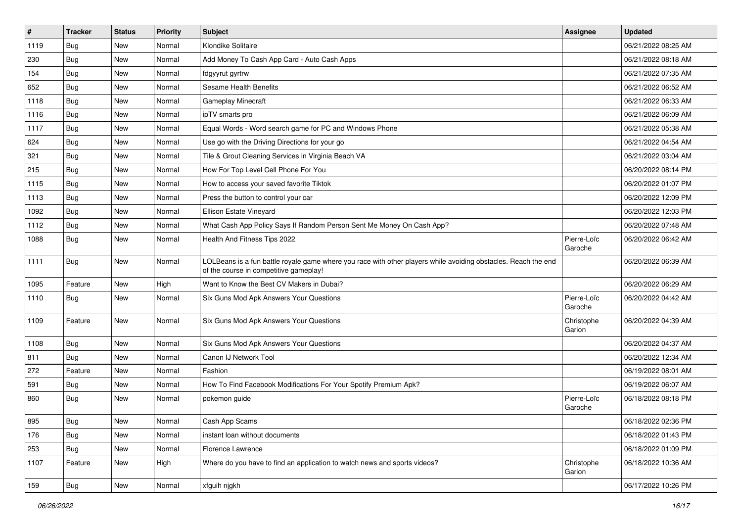| $\vert$ # | <b>Tracker</b> | <b>Status</b> | <b>Priority</b> | Subject                                                                                                                                                  | <b>Assignee</b>        | <b>Updated</b>      |
|-----------|----------------|---------------|-----------------|----------------------------------------------------------------------------------------------------------------------------------------------------------|------------------------|---------------------|
| 1119      | <b>Bug</b>     | New           | Normal          | Klondike Solitaire                                                                                                                                       |                        | 06/21/2022 08:25 AM |
| 230       | Bug            | New           | Normal          | Add Money To Cash App Card - Auto Cash Apps                                                                                                              |                        | 06/21/2022 08:18 AM |
| 154       | <b>Bug</b>     | New           | Normal          | fdgyyrut gyrtrw                                                                                                                                          |                        | 06/21/2022 07:35 AM |
| 652       | Bug            | New           | Normal          | Sesame Health Benefits                                                                                                                                   |                        | 06/21/2022 06:52 AM |
| 1118      | Bug            | New           | Normal          | Gameplay Minecraft                                                                                                                                       |                        | 06/21/2022 06:33 AM |
| 1116      | Bug            | New           | Normal          | ipTV smarts pro                                                                                                                                          |                        | 06/21/2022 06:09 AM |
| 1117      | Bug            | New           | Normal          | Equal Words - Word search game for PC and Windows Phone                                                                                                  |                        | 06/21/2022 05:38 AM |
| 624       | Bug            | New           | Normal          | Use go with the Driving Directions for your go                                                                                                           |                        | 06/21/2022 04:54 AM |
| 321       | <b>Bug</b>     | New           | Normal          | Tile & Grout Cleaning Services in Virginia Beach VA                                                                                                      |                        | 06/21/2022 03:04 AM |
| 215       | Bug            | New           | Normal          | How For Top Level Cell Phone For You                                                                                                                     |                        | 06/20/2022 08:14 PM |
| 1115      | Bug            | New           | Normal          | How to access your saved favorite Tiktok                                                                                                                 |                        | 06/20/2022 01:07 PM |
| 1113      | Bug            | New           | Normal          | Press the button to control your car                                                                                                                     |                        | 06/20/2022 12:09 PM |
| 1092      | Bug            | New           | Normal          | <b>Ellison Estate Vineyard</b>                                                                                                                           |                        | 06/20/2022 12:03 PM |
| 1112      | <b>Bug</b>     | New           | Normal          | What Cash App Policy Says If Random Person Sent Me Money On Cash App?                                                                                    |                        | 06/20/2022 07:48 AM |
| 1088      | Bug            | New           | Normal          | Health And Fitness Tips 2022                                                                                                                             | Pierre-Loïc<br>Garoche | 06/20/2022 06:42 AM |
| 1111      | Bug            | New           | Normal          | LOLBeans is a fun battle royale game where you race with other players while avoiding obstacles. Reach the end<br>of the course in competitive gameplay! |                        | 06/20/2022 06:39 AM |
| 1095      | Feature        | New           | High            | Want to Know the Best CV Makers in Dubai?                                                                                                                |                        | 06/20/2022 06:29 AM |
| 1110      | Bug            | New           | Normal          | Six Guns Mod Apk Answers Your Questions                                                                                                                  | Pierre-Loïc<br>Garoche | 06/20/2022 04:42 AM |
| 1109      | Feature        | New           | Normal          | Six Guns Mod Apk Answers Your Questions                                                                                                                  | Christophe<br>Garion   | 06/20/2022 04:39 AM |
| 1108      | Bug            | New           | Normal          | Six Guns Mod Apk Answers Your Questions                                                                                                                  |                        | 06/20/2022 04:37 AM |
| 811       | <b>Bug</b>     | New           | Normal          | Canon IJ Network Tool                                                                                                                                    |                        | 06/20/2022 12:34 AM |
| 272       | Feature        | New           | Normal          | Fashion                                                                                                                                                  |                        | 06/19/2022 08:01 AM |
| 591       | Bug            | New           | Normal          | How To Find Facebook Modifications For Your Spotify Premium Apk?                                                                                         |                        | 06/19/2022 06:07 AM |
| 860       | Bug            | New           | Normal          | pokemon guide                                                                                                                                            | Pierre-Loïc<br>Garoche | 06/18/2022 08:18 PM |
| 895       | Bug            | New           | Normal          | Cash App Scams                                                                                                                                           |                        | 06/18/2022 02:36 PM |
| 176       | Bug            | New           | Normal          | instant loan without documents                                                                                                                           |                        | 06/18/2022 01:43 PM |
| 253       | Bug            | New           | Normal          | Florence Lawrence                                                                                                                                        |                        | 06/18/2022 01:09 PM |
| 1107      | Feature        | New           | High            | Where do you have to find an application to watch news and sports videos?                                                                                | Christophe<br>Garion   | 06/18/2022 10:36 AM |
| 159       | <b>Bug</b>     | New           | Normal          | xfguih njgkh                                                                                                                                             |                        | 06/17/2022 10:26 PM |